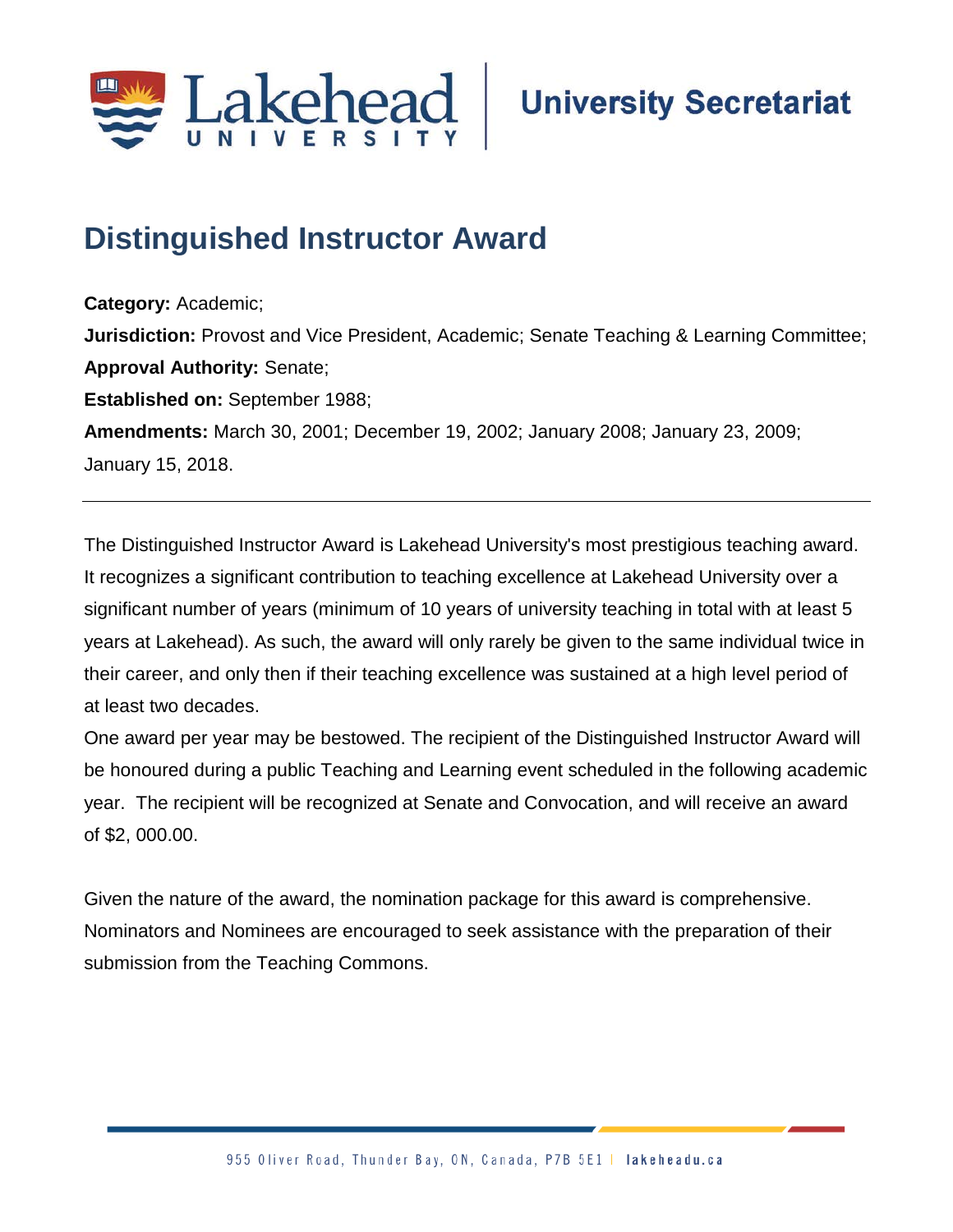

# **Distinguished Instructor Award**

**Category:** Academic; **Jurisdiction:** Provost and Vice President, Academic; Senate Teaching & Learning Committee; **Approval Authority:** Senate; **Established on:** September 1988; **Amendments:** March 30, 2001; December 19, 2002; January 2008; January 23, 2009; January 15, 2018.

The Distinguished Instructor Award is Lakehead University's most prestigious teaching award. It recognizes a significant contribution to teaching excellence at Lakehead University over a significant number of years (minimum of 10 years of university teaching in total with at least 5 years at Lakehead). As such, the award will only rarely be given to the same individual twice in their career, and only then if their teaching excellence was sustained at a high level period of at least two decades.

One award per year may be bestowed. The recipient of the Distinguished Instructor Award will be honoured during a public Teaching and Learning event scheduled in the following academic year. The recipient will be recognized at Senate and Convocation, and will receive an award of \$2, 000.00.

Given the nature of the award, the nomination package for this award is comprehensive. Nominators and Nominees are encouraged to seek assistance with the preparation of their submission from the Teaching Commons.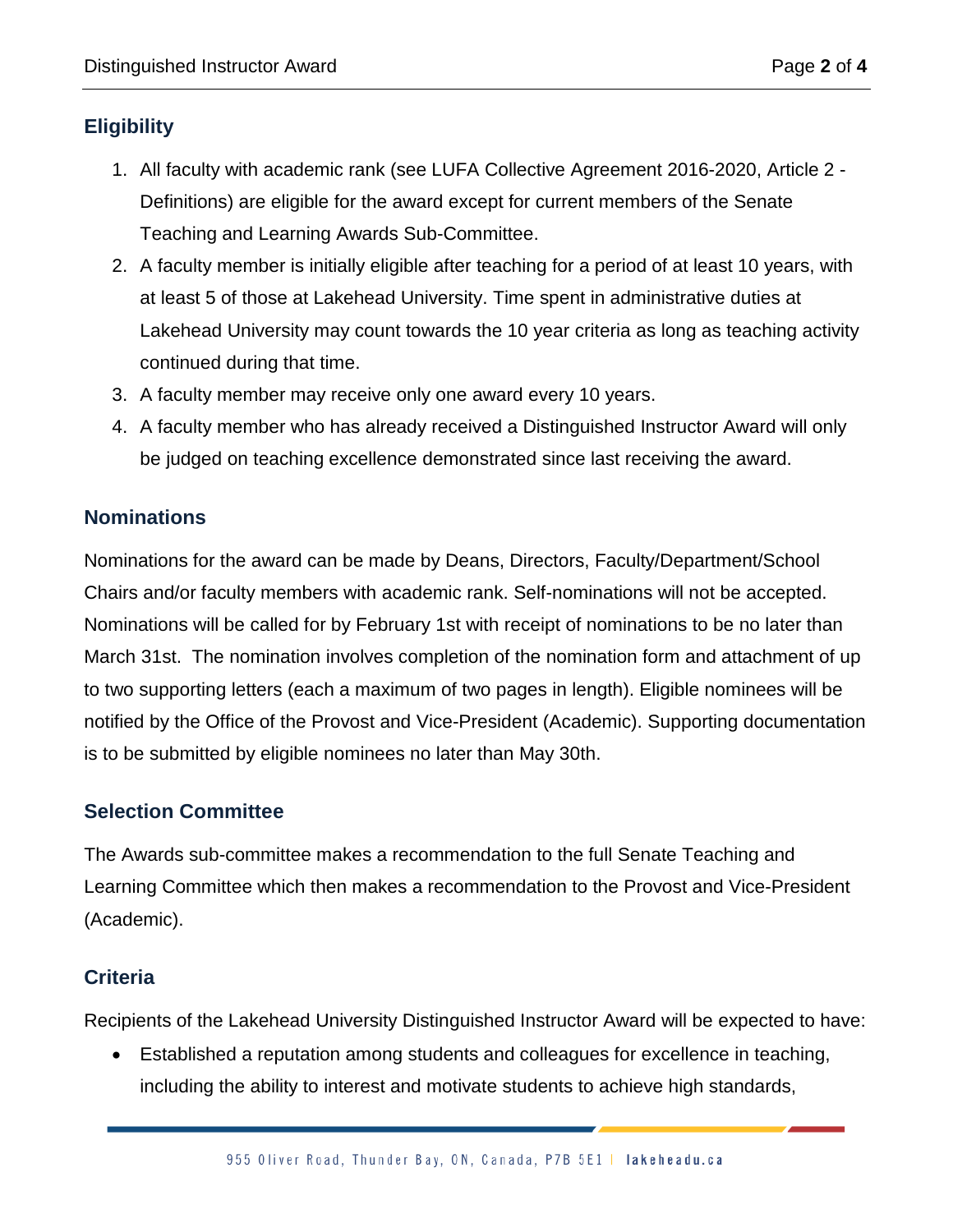### **Eligibility**

- 1. All faculty with academic rank (see LUFA Collective Agreement 2016-2020, Article 2 Definitions) are eligible for the award except for current members of the Senate Teaching and Learning Awards Sub-Committee.
- 2. A faculty member is initially eligible after teaching for a period of at least 10 years, with at least 5 of those at Lakehead University. Time spent in administrative duties at Lakehead University may count towards the 10 year criteria as long as teaching activity continued during that time.
- 3. A faculty member may receive only one award every 10 years.
- 4. A faculty member who has already received a Distinguished Instructor Award will only be judged on teaching excellence demonstrated since last receiving the award.

#### **Nominations**

Nominations for the award can be made by Deans, Directors, Faculty/Department/School Chairs and/or faculty members with academic rank. Self-nominations will not be accepted. Nominations will be called for by February 1st with receipt of nominations to be no later than March 31st. The nomination involves completion of the nomination form and attachment of up to two supporting letters (each a maximum of two pages in length). Eligible nominees will be notified by the Office of the Provost and Vice-President (Academic). Supporting documentation is to be submitted by eligible nominees no later than May 30th.

#### **Selection Committee**

The Awards sub-committee makes a recommendation to the full Senate Teaching and Learning Committee which then makes a recommendation to the Provost and Vice-President (Academic).

#### **Criteria**

Recipients of the Lakehead University Distinguished Instructor Award will be expected to have:

• Established a reputation among students and colleagues for excellence in teaching, including the ability to interest and motivate students to achieve high standards,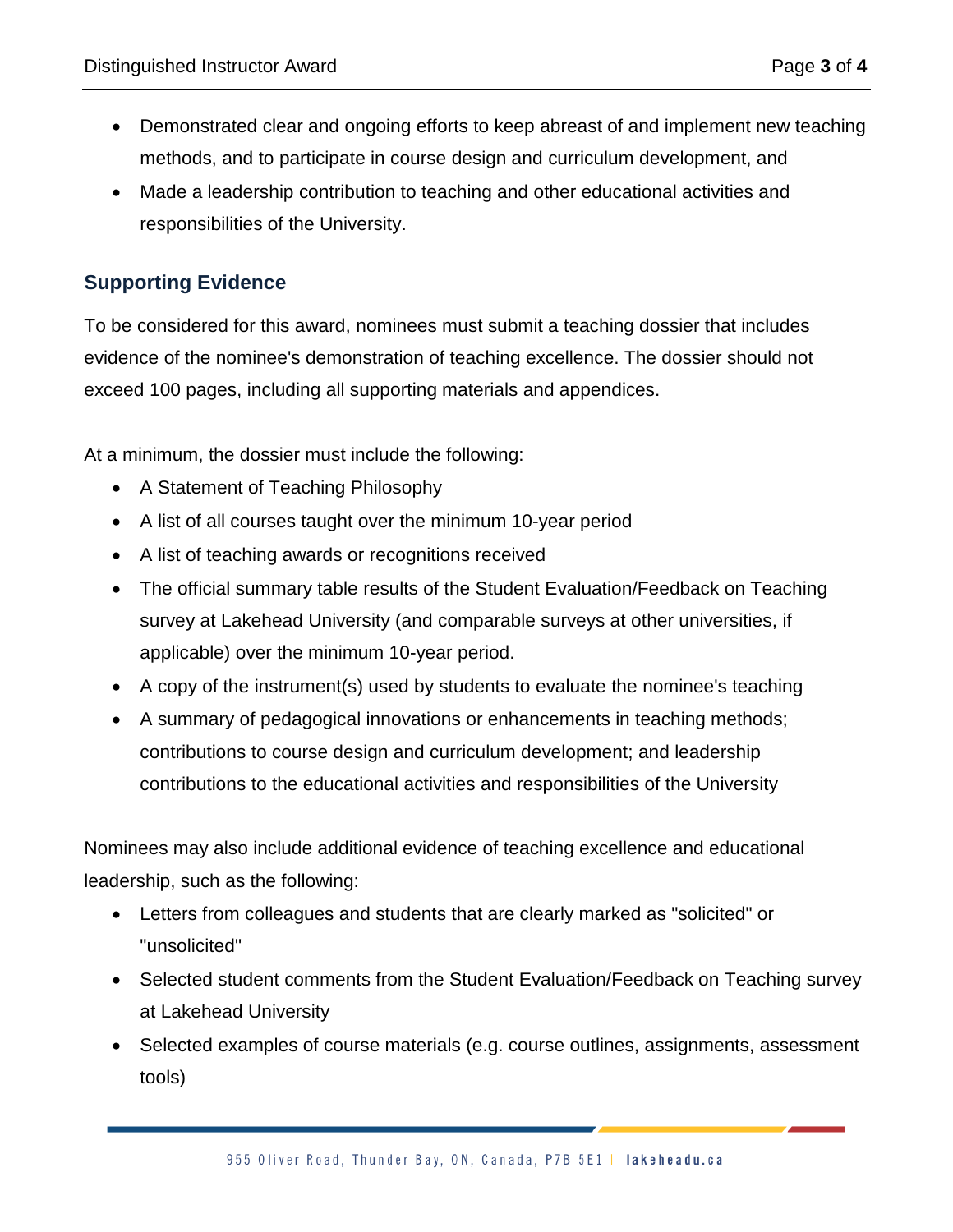- Demonstrated clear and ongoing efforts to keep abreast of and implement new teaching methods, and to participate in course design and curriculum development, and
- Made a leadership contribution to teaching and other educational activities and responsibilities of the University.

#### **Supporting Evidence**

To be considered for this award, nominees must submit a teaching dossier that includes evidence of the nominee's demonstration of teaching excellence. The dossier should not exceed 100 pages, including all supporting materials and appendices.

At a minimum, the dossier must include the following:

- A Statement of Teaching Philosophy
- A list of all courses taught over the minimum 10-year period
- A list of teaching awards or recognitions received
- The official summary table results of the Student Evaluation/Feedback on Teaching survey at Lakehead University (and comparable surveys at other universities, if applicable) over the minimum 10-year period.
- A copy of the instrument(s) used by students to evaluate the nominee's teaching
- A summary of pedagogical innovations or enhancements in teaching methods; contributions to course design and curriculum development; and leadership contributions to the educational activities and responsibilities of the University

Nominees may also include additional evidence of teaching excellence and educational leadership, such as the following:

- Letters from colleagues and students that are clearly marked as "solicited" or "unsolicited"
- Selected student comments from the Student Evaluation/Feedback on Teaching survey at Lakehead University
- Selected examples of course materials (e.g. course outlines, assignments, assessment tools)